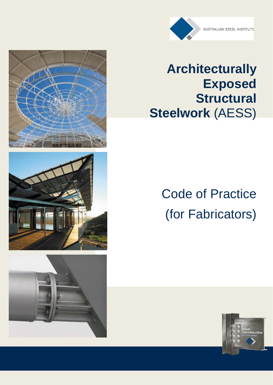

## **Architecturally Exposed Structural Steelwork** (AESS)

# Code of Practice (for Fabricators)







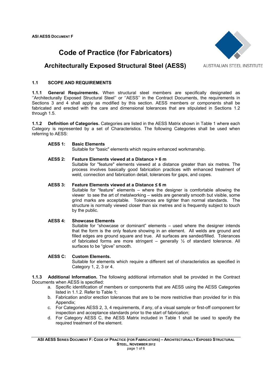### **Code of Practice (for Fabricators)**



#### **Architecturally Exposed Structural Steel (AESS)**

**AUSTRALIAN STEEL INSTITUTE** 

#### **1.1 SCOPE AND REQUIREMENTS**

**1.1.1 General Requirements.** When structural steel members are specifically designated as ''Architecturally Exposed Structural Steel'' or ''AESS'' in the Contract Documents, the requirements in Sections 3 and 4 shall apply as modified by this section. AESS members or components shall be fabricated and erected with the care and dimensional tolerances that are stipulated in Sections 1.2 through 1.5.

**1.1.2 Definition of Categories.** Categories are listed in the AESS Matrix shown in Table 1 where each Category is represented by a set of Characteristics. The following Categories shall be used when referring to AESS:

#### **AESS 1: Basic Elements**

Suitable for "basic" elements which require enhanced workmanship.

#### **AESS 2: Feature Elements viewed at a Distance > 6 m**

Suitable for "feature" elements viewed at a distance greater than six metres. The process involves basically good fabrication practices with enhanced treatment of weld, connection and fabrication detail, tolerances for gaps, and copes.

#### **AESS 3: Feature Elements viewed at a Distance ≤ 6 m**

Suitable for "feature" elements – where the designer is comfortable allowing the viewer to see the art of metalworking – welds are generally smooth but visible, some grind marks are acceptable. Tolerances are tighter than normal standards. The structure is normally viewed closer than six metres and is frequently subject to touch by the public.

#### **AESS 4: Showcase Elements**

Suitable for "showcase or dominant" elements – used where the designer intends that the form is the only feature showing in an element. All welds are ground and filled edges are ground square and true. All surfaces are sanded/filled. Tolerances of fabricated forms are more stringent – generally  $\frac{1}{2}$  of standard tolerance. All surfaces to be "glove" smooth.

#### **AESS C: Custom Elements.**

Suitable for elements which require a different set of characteristics as specified in Category 1, 2, 3 or 4.

**1.1.3 Additional Information.** The following additional information shall be provided in the Contract Documents when AESS is specified:

- a. Specific identification of members or components that are AESS using the AESS Categories listed in 1.1.2. Refer to Table 1;
- b. Fabrication and/or erection tolerances that are to be more restrictive than provided for in this Appendix;
- c. For Categories AESS 2, 3, 4 requirements, if any, of a visual sample or first-off component for inspection and acceptance standards prior to the start of fabrication;
- d. For Category AESS C, the AESS Matrix included in Table 1 shall be used to specify the required treatment of the element.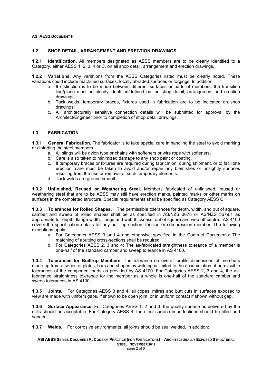#### **1.2 SHOP DETAIL, ARRANGEMENT AND ERECTION DRAWINGS**

**1.2.1 Identification.** All members designated as AESS members are to be clearly identified to a Category, either AESS 1, 2, 3, 4 or C, on all shop detail, arrangement and erection drawings.

**1.2.2 Variations.** Any variations from the AESS Categories listed must be clearly noted. These variations could include machined surfaces, locally abraded surfaces or forgings. In addition:

- a. If distinction is to be made between different surfaces or parts of members, the transition line/plane must be clearly identified/defined on the shop detail, arrangement and erection drawings;
- b. Tack welds, temporary braces, fixtures used in fabrication are to be indicated on shop drawings;
- c. All architecturally sensitive connection details will be submitted for approval by the Architect/Engineer prior to completion of shop detail drawings.

#### **1.3 FABRICATION**

**1.3.1 General Fabrication.** The fabricator is to take special care in handling the steel to avoid marking or distorting the steel members.

- a. All slings will be nylon type or chains with softeners or wire rope with softeners.
- b. Care is also taken to minimized damage to any shop paint or coating.
- c. If temporary braces or fixtures are required during fabrication, during shipment, or to facilitate erection, care must be taken to avoid and/or repair any blemishes or unsightly surfaces resulting from the use or removal of such temporary elements.
- d. Tack welds are ground smooth.

**1.3.2 Unfinished, Reused or Weathering Steel.** Members fabricated of unfinished, reused or weathering steel that are to be AESS may still have erection marks, painted marks or other marks on surfaces in the completed structure. Special requirements shall be specified as Category AESS C.

**1.3.3 Tolerances for Rolled Shapes.** The permissible tolerances for depth, width, and out of square, camber and sweep of rolled shapes shall be as specified in AS/NZS 3678 or AS/NZS 3679.1 as appropriate for depth, flange width, flange and web thickness, out of square and web off centre. AS 4100 covers the specification details for any built up section, tension or compression member. The following exceptions apply:

- a. For Categories AESS 3 and 4 and otherwise specified in the Contract Documents: The matching of abutting cross-sections shall be required;
- b. For Categories AESS 2, 3 and 4: The as-fabricated straightness tolerance of a member is one-half of the standard camber and sweep tolerance in AS 4100.

**1.3.4 Tolerances for Built-up Members.** The tolerance on overall profile dimensions of members made up from a series of plates, bars and shapes by welding is limited to the accumulation of permissible tolerances of the component parts as provided by AS 4100. For Categories AESS 2, 3 and 4, the asfabricated straightness tolerance for the member as a whole is one-half of the standard camber and sweep tolerances in AS 4100.

**1.3.5 Joints.** For Categories AESS 3 and 4, all copes, mitres and butt cuts in surfaces exposed to view are made with uniform gaps, if shown to be open joint, or in uniform contact if shown without gap.

**1.3.6 Surface Appearance.** For Categories AESS 1, 2 and 3, the quality surface as delivered by the mills should be acceptable. For Category AESS 4, the steel surface imperfections should be filled and sanded.

**1.3.7 Welds.** For corrosive environments, all joints should be seal welded. In addition: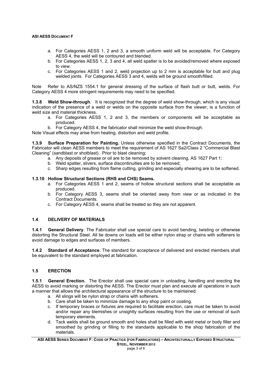- a. For Categories AESS 1, 2 and 3, a smooth uniform weld will be acceptable. For Category AESS 4, the weld will be contoured and blended.
- b. For Categories AESS 1, 2, 3 and 4, all weld spatter is to be avoided/removed where exposed to view.
- c. For Categories AESS 1 and 2, weld projection up to 2 mm is acceptable for butt and plug welded joints. For Categories AESS 3 and 4, welds will be ground smooth/filled.

Note Refer to AS/NZS 1554.1 for general dressing of the surface of flash butt or butt, welds. For Category AESS 4 more stringent requirements may need to be specified.

**1.3.8 Weld Show-through**. It is recognized that the degree of weld show-through, which is any visual indication of the presence of a weld or welds on the opposite surface from the viewer, is a function of weld size and material thickness.

a. For Categories AESS 1, 2 and 3, the members or components will be acceptable as produced.

b. For Category AESS 4, the fabricator shall minimize the weld show-through.

Note Visual effects may arise from heating, distortion and weld profile.

**1.3.9 Surface Preparation for Painting.** Unless otherwise specified in the Contract Documents, the Fabricator will clean AESS members to meet the requirement of AS 1627 Sa2/Class 2 "Commercial Blast Cleaning" (sandblast or shotblast). Prior to blast cleaning:

- a. Any deposits of grease or oil are to be removed by solvent cleaning, AS 1627 Part 1;
- b. Weld spatter, slivers, surface discontinuities are to be removed;
- c. Sharp edges resulting from flame cutting, grinding and especially shearing are to be softened.

#### **1.3.10 Hollow Structural Sections (RHS and CHS) Seams.**

- a. For Categories AESS 1 and 2, seams of hollow structural sections shall be acceptable as produced.
- b. For Category AESS 3, seams shall be oriented away from view or as indicated in the Contract Documents.
- c. For Category AESS 4, seams shall be treated so they are not apparent.

#### **1.4 DELIVERY OF MATERIALS**

**1.4.1 General Delivery**. The Fabricator shall use special care to avoid bending, twisting or otherwise distorting the Structural Steel. All tie downs on loads will be either nylon strap or chains with softeners to avoid damage to edges and surfaces of members.

**1.4.2 Standard of Acceptance**. The standard for acceptance of delivered and erected members shall be equivalent to the standard employed at fabrication.

#### **1.5 ERECTION**

**1.5.1 General Erection.** The Erector shall use special care in unloading, handling and erecting the AESS to avoid marking or distorting the AESS. The Erector must plan and execute all operations in such a manner that allows the architectural appearance of the structure to be maintained.

- a. All slings will be nylon strap or chains with softeners.
- b. Care shall be taken to minimize damage to any shop paint or coating.
- c. If temporary braces or fixtures are required to facilitate erection, care must be taken to avoid and/or repair any blemishes or unsightly surfaces resulting from the use or removal of such temporary elements.
- d. Tack welds shall be ground smooth and holes shall be filled with weld metal or body filler and smoothed by grinding or filling to the standards applicable to the shop fabrication of the materials.

**ASI AESS SERIES DOCUMENT F: CODE OF PRACTICE (FOR FABRICATORS) – ARCHITECTURALLY EXPOSED STRUCTURAL STEEL, NOVEMBER 2012**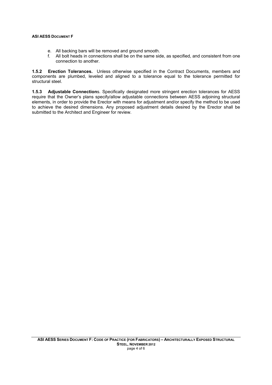- e. All backing bars will be removed and ground smooth.
- f. All bolt heads in connections shall be on the same side, as specified, and consistent from one connection to another.

**1.5.2 Erection Tolerances.** Unless otherwise specified in the Contract Documents, members and components are plumbed, leveled and aligned to a tolerance equal to the tolerance permitted for structural steel.

**1.5.3 Adjustable Connection**s. Specifically designated more stringent erection tolerances for AESS require that the Owner's plans specify/allow adjustable connections between AESS adjoining structural elements, in order to provide the Erector with means for adjustment and/or specify the method to be used to achieve the desired dimensions. Any proposed adjustment details desired by the Erector shall be submitted to the Architect and Engineer for review.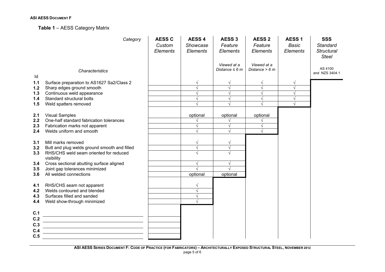#### **Table 1** – AESS Category Matrix

|       | Category                                             | <b>AESS C</b><br>Custom<br><b>Elements</b> | <b>AESS 4</b><br>Showcase<br>Elements | AESS <sub>3</sub><br>Feature<br>Elements | <b>AESS 2</b><br>Feature<br>Elements | <b>AESS1</b><br><b>Basic</b><br>Elements | <b>SSS</b><br><b>Standard</b><br><b>Structural</b><br><b>Steel</b> |
|-------|------------------------------------------------------|--------------------------------------------|---------------------------------------|------------------------------------------|--------------------------------------|------------------------------------------|--------------------------------------------------------------------|
| ld    | Characteristics                                      |                                            |                                       | Viewed at a<br>Distance $\leq 6$ m       | Viewed at a<br>Distance $> 6 m$      |                                          | AS 4100<br>and NZS 3404.1                                          |
| $1.1$ | Surface preparation to AS1627 Sa2/Class 2            |                                            | $\sqrt{ }$                            | $\sqrt{}$                                | V                                    | V                                        |                                                                    |
| $1.2$ | Sharp edges ground smooth                            |                                            |                                       |                                          | $\sqrt{}$                            |                                          |                                                                    |
| 1.3   | Continuous weld appearance                           |                                            |                                       |                                          |                                      |                                          |                                                                    |
| 1.4   | Standard structural bolts                            |                                            | $\sqrt{ }$                            | $\sqrt{ }$                               | $\sqrt{}$                            |                                          |                                                                    |
| 1.5   | Weld spatters removed                                |                                            |                                       |                                          |                                      |                                          |                                                                    |
| 2.1   | <b>Visual Samples</b>                                |                                            | optional                              | optional                                 | optional                             |                                          |                                                                    |
| 2.2   | One-half standard fabrication tolerances             |                                            |                                       |                                          |                                      |                                          |                                                                    |
| 2.3   | Fabrication marks not apparent                       |                                            | $\sqrt{ }$                            | $\sqrt{ }$                               | $\sqrt{}$                            |                                          |                                                                    |
| 2.4   | Welds uniform and smooth                             |                                            |                                       |                                          |                                      |                                          |                                                                    |
| 3.1   | Mill marks removed                                   |                                            | V                                     |                                          |                                      |                                          |                                                                    |
| 3.2   | Butt and plug welds ground smooth and filled         |                                            | $\sqrt{ }$                            | $\sqrt{}$                                |                                      |                                          |                                                                    |
| 3.3   | RHS/CHS weld seam oriented for reduced<br>visibility |                                            |                                       | J                                        |                                      |                                          |                                                                    |
| 3.4   | Cross sectional abutting surface aligned             |                                            |                                       | $\sqrt{}$                                |                                      |                                          |                                                                    |
| 3.5   | Joint gap tolerances minimized                       |                                            |                                       |                                          |                                      |                                          |                                                                    |
| 3.6   | All welded connections                               |                                            | optional                              | optional                                 |                                      |                                          |                                                                    |
| 4.1   | RHS/CHS seam not apparent                            |                                            |                                       |                                          |                                      |                                          |                                                                    |
| 4.2   | Welds contoured and blended                          |                                            |                                       |                                          |                                      |                                          |                                                                    |
| 4.3   | Surfaces filled and sanded                           |                                            | $\sqrt{ }$                            |                                          |                                      |                                          |                                                                    |
| 4.4   | Weld show-through minimized                          |                                            |                                       |                                          |                                      |                                          |                                                                    |
|       |                                                      |                                            |                                       |                                          |                                      |                                          |                                                                    |
| C.1   |                                                      |                                            |                                       |                                          |                                      |                                          |                                                                    |
| C.2   |                                                      |                                            |                                       |                                          |                                      |                                          |                                                                    |
| C.3   |                                                      |                                            |                                       |                                          |                                      |                                          |                                                                    |
| C.4   |                                                      |                                            |                                       |                                          |                                      |                                          |                                                                    |
| C.5   |                                                      |                                            |                                       |                                          |                                      |                                          |                                                                    |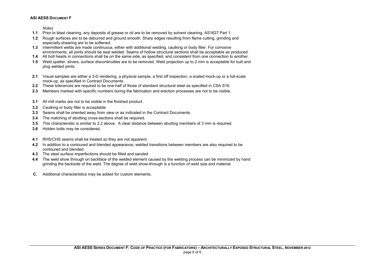*Notes* 

- **1.1** Prior to blast cleaning, any deposits of grease or oil are to be removed by solvent cleaning, AS1627 Part 1.
- **1.2** Rough surfaces are to be deburred and ground smooth. Sharp edges resulting from flame cutting, grinding and especially shearing are to be softened.
- **1.3** Intermittent welds are made continuous, either with additional welding, caulking or body filler. For corrosive environments, all joints should be seal welded. Seams of hollow structural sections shall be acceptable as produced.
- **1.4** All bolt heads in connections shall be on the same side, as specified, and consistent from one connection to another.
- **1.5** Weld spatter, slivers, surface discontinuities are to be removed. Weld projection up to 2 mm is acceptable for butt and plug welded joints.
- **2.1** Visual samples are either a 3-D rendering, a physical sample, a first off inspection, a scaled mock-up or a full-scale mock-up, as specified in Contract Documents.
- **2.2** These tolerances are required to be one-half of those of standard structural steel as specified in CSA S16.
- **2.3** Members marked with specific numbers during the fabrication and erection processes are not to be visible.
- **3.1** All mill marks are not to be visible in the finished product.
- **3.2** Caulking or body filler is acceptable.
- **3.3** Seams shall be oriented away from view or as indicated in the Contract Documents.
- **3.4** The matching of abutting cross-sections shall be required.
- **3.5** This characteristic is similar to 2.2 above. A clear distance between abutting members of 3 mm is required.
- **3.6** Hidden bolts may be considered.
- **4.1** RHS/CHS seams shall be treated so they are not apparent.
- **4.2** In addition to a contoured and blended appearance, welded transitions between members are also required to be contoured and blended.
- **4.3** The steel surface imperfections should be filled and sanded.
- **4.4** The weld show through on backface of the welded element caused by the welding process can be minimized by hand grinding the backside of the weld. The degree of weld show-through is a function of weld size and material.
- **C.** Additional characteristics may be added for custom elements.